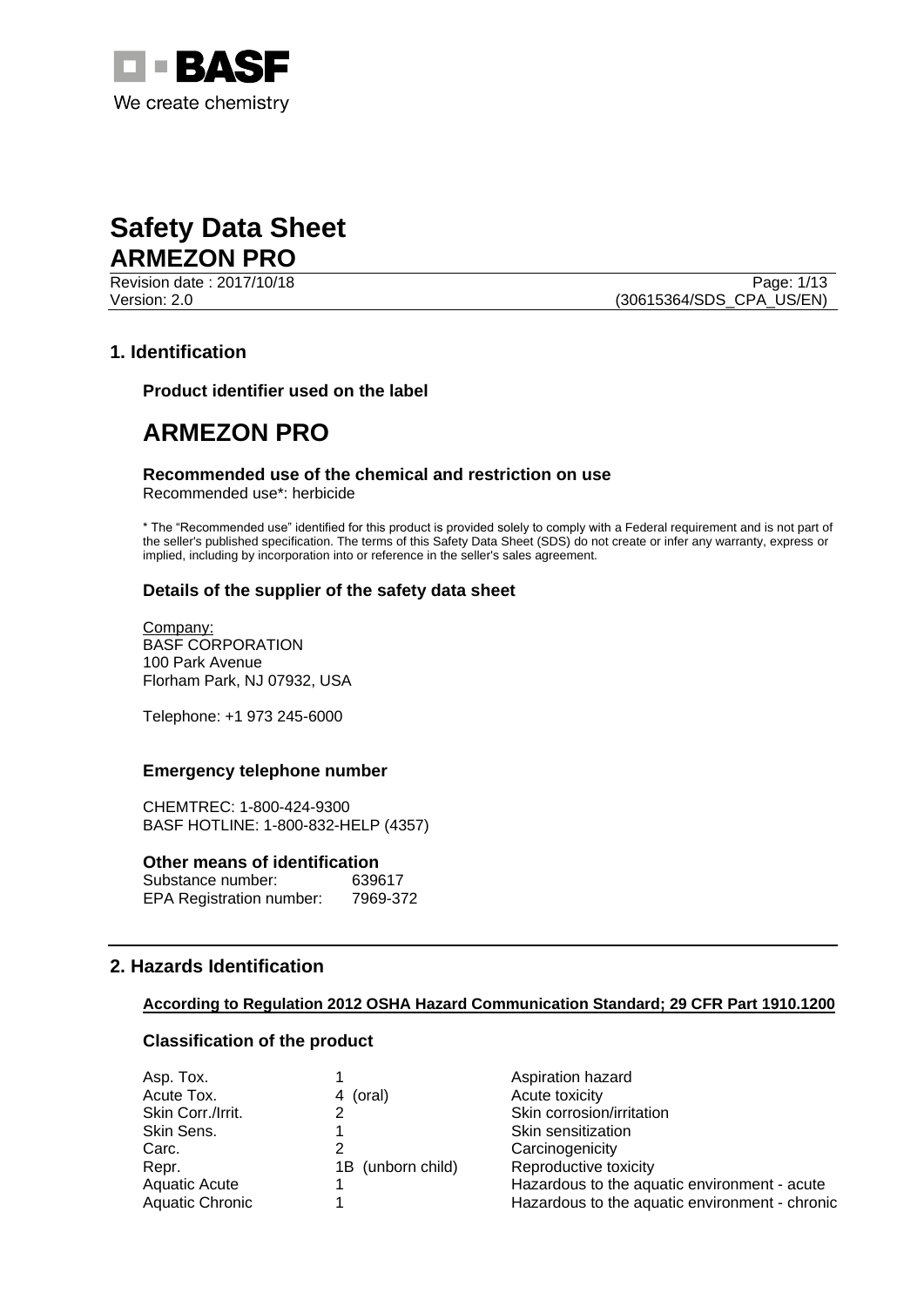



Revision date : 2017/10/18 Page: 1/13 Version: 2.0 (30615364/SDS\_CPA\_US/EN)

# **1. Identification**

**Product identifier used on the label**

# **ARMEZON PRO**

#### **Recommended use of the chemical and restriction on use**

Recommended use\*: herbicide

\* The "Recommended use" identified for this product is provided solely to comply with a Federal requirement and is not part of the seller's published specification. The terms of this Safety Data Sheet (SDS) do not create or infer any warranty, express or implied, including by incorporation into or reference in the seller's sales agreement.

#### **Details of the supplier of the safety data sheet**

Company: BASF CORPORATION 100 Park Avenue Florham Park, NJ 07932, USA

Telephone: +1 973 245-6000

#### **Emergency telephone number**

CHEMTREC: 1-800-424-9300 BASF HOTLINE: 1-800-832-HELP (4357)

#### **Other means of identification**

| Substance number:               | 639617   |
|---------------------------------|----------|
| <b>EPA Registration number:</b> | 7969-372 |

# **2. Hazards Identification**

#### **According to Regulation 2012 OSHA Hazard Communication Standard; 29 CFR Part 1910.1200**

# **Classification of the product**

| Asp. Tox.         |                   | Aspiration hazard                              |
|-------------------|-------------------|------------------------------------------------|
| Acute Tox.        | 4 (oral)          | Acute toxicity                                 |
| Skin Corr./Irrit. |                   | Skin corrosion/irritation                      |
| Skin Sens.        |                   | Skin sensitization                             |
| Carc.             |                   | Carcinogenicity                                |
| Repr.             | 1B (unborn child) | Reproductive toxicity                          |
| Aquatic Acute     |                   | Hazardous to the aquatic environment - acute   |
| Aquatic Chronic   |                   | Hazardous to the aquatic environment - chronic |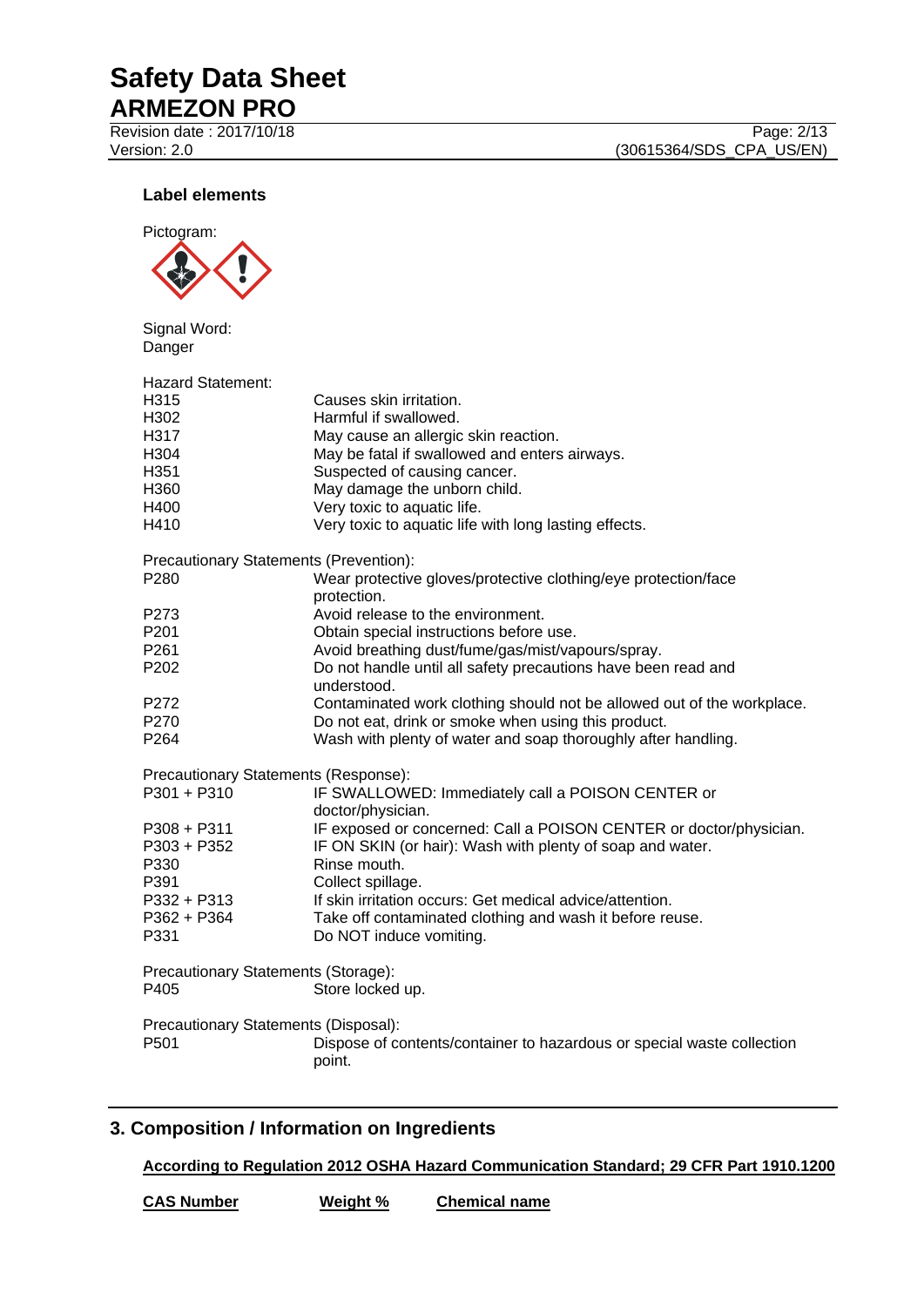Revision date : 2017/10/18 Page: 2/13

Version: 2.0 (30615364/SDS\_CPA\_US/EN)

# **Label elements**



Signal Word: Danger

| <b>Hazard Statement:</b>                    |                                                                                  |
|---------------------------------------------|----------------------------------------------------------------------------------|
| H315                                        | Causes skin irritation.                                                          |
| H <sub>302</sub>                            | Harmful if swallowed.                                                            |
| H317                                        | May cause an allergic skin reaction.                                             |
| H304                                        | May be fatal if swallowed and enters airways.                                    |
| H351                                        | Suspected of causing cancer.                                                     |
| H360                                        | May damage the unborn child.                                                     |
| H400                                        | Very toxic to aquatic life.                                                      |
| H410                                        | Very toxic to aquatic life with long lasting effects.                            |
| Precautionary Statements (Prevention):      |                                                                                  |
| P280                                        | Wear protective gloves/protective clothing/eye protection/face<br>protection.    |
| P273                                        | Avoid release to the environment.                                                |
| P <sub>201</sub>                            | Obtain special instructions before use.                                          |
| P <sub>261</sub>                            | Avoid breathing dust/fume/gas/mist/vapours/spray.                                |
| P202                                        | Do not handle until all safety precautions have been read and<br>understood.     |
| P272                                        | Contaminated work clothing should not be allowed out of the workplace.           |
| P270                                        | Do not eat, drink or smoke when using this product.                              |
| P <sub>264</sub>                            | Wash with plenty of water and soap thoroughly after handling.                    |
| Precautionary Statements (Response):        |                                                                                  |
| P301 + P310                                 | IF SWALLOWED: Immediately call a POISON CENTER or<br>doctor/physician.           |
| P308 + P311                                 | IF exposed or concerned: Call a POISON CENTER or doctor/physician.               |
| P303 + P352                                 | IF ON SKIN (or hair): Wash with plenty of soap and water.                        |
| P330                                        | Rinse mouth.                                                                     |
| P391                                        | Collect spillage.                                                                |
| P332 + P313                                 | If skin irritation occurs: Get medical advice/attention.                         |
| P362 + P364                                 | Take off contaminated clothing and wash it before reuse.                         |
| P331                                        | Do NOT induce vomiting.                                                          |
| Precautionary Statements (Storage):<br>P405 | Store locked up.                                                                 |
| Precautionary Statements (Disposal):        |                                                                                  |
| P <sub>501</sub>                            | Dispose of contents/container to hazardous or special waste collection<br>point. |

# **3. Composition / Information on Ingredients**

**According to Regulation 2012 OSHA Hazard Communication Standard; 29 CFR Part 1910.1200**

**CAS Number Weight % Chemical name**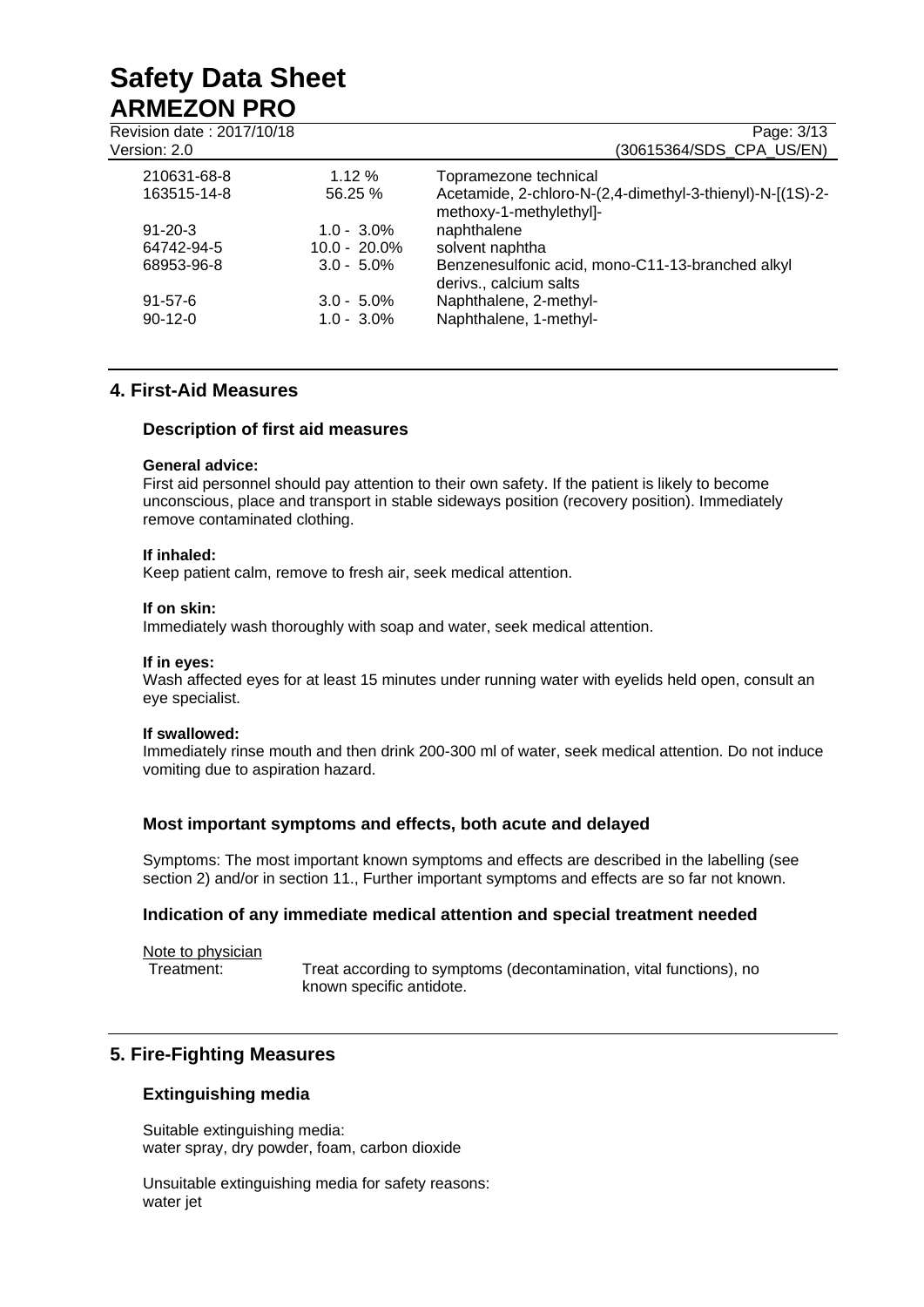| Revision date: 2017/10/18<br>Version: 2.0 |                 | Page: 3/13<br>(30615364/SDS CPA US/EN)                                               |
|-------------------------------------------|-----------------|--------------------------------------------------------------------------------------|
| 210631-68-8                               | 1.12%           | Topramezone technical                                                                |
| 163515-14-8                               | 56.25%          | Acetamide, 2-chloro-N-(2,4-dimethyl-3-thienyl)-N-[(1S)-2-<br>methoxy-1-methylethyl]- |
| $91 - 20 - 3$                             | $1.0 - 3.0\%$   | naphthalene                                                                          |
| 64742-94-5                                | $10.0 - 20.0\%$ | solvent naphtha                                                                      |
| 68953-96-8                                | $3.0 - 5.0\%$   | Benzenesulfonic acid, mono-C11-13-branched alkyl<br>derivs., calcium salts           |
| $91 - 57 - 6$                             | $3.0 - 5.0\%$   | Naphthalene, 2-methyl-                                                               |
| $90-12-0$                                 | $1.0 - 3.0\%$   | Naphthalene, 1-methyl-                                                               |

# **4. First-Aid Measures**

# **Description of first aid measures**

#### **General advice:**

First aid personnel should pay attention to their own safety. If the patient is likely to become unconscious, place and transport in stable sideways position (recovery position). Immediately remove contaminated clothing.

### **If inhaled:**

Keep patient calm, remove to fresh air, seek medical attention.

#### **If on skin:**

Immediately wash thoroughly with soap and water, seek medical attention.

#### **If in eyes:**

Wash affected eyes for at least 15 minutes under running water with eyelids held open, consult an eye specialist.

#### **If swallowed:**

Immediately rinse mouth and then drink 200-300 ml of water, seek medical attention. Do not induce vomiting due to aspiration hazard.

# **Most important symptoms and effects, both acute and delayed**

Symptoms: The most important known symptoms and effects are described in the labelling (see section 2) and/or in section 11., Further important symptoms and effects are so far not known.

#### **Indication of any immediate medical attention and special treatment needed**

Note to physician

Treatment: Treat according to symptoms (decontamination, vital functions), no known specific antidote.

# **5. Fire-Fighting Measures**

# **Extinguishing media**

Suitable extinguishing media: water spray, dry powder, foam, carbon dioxide

Unsuitable extinguishing media for safety reasons: water jet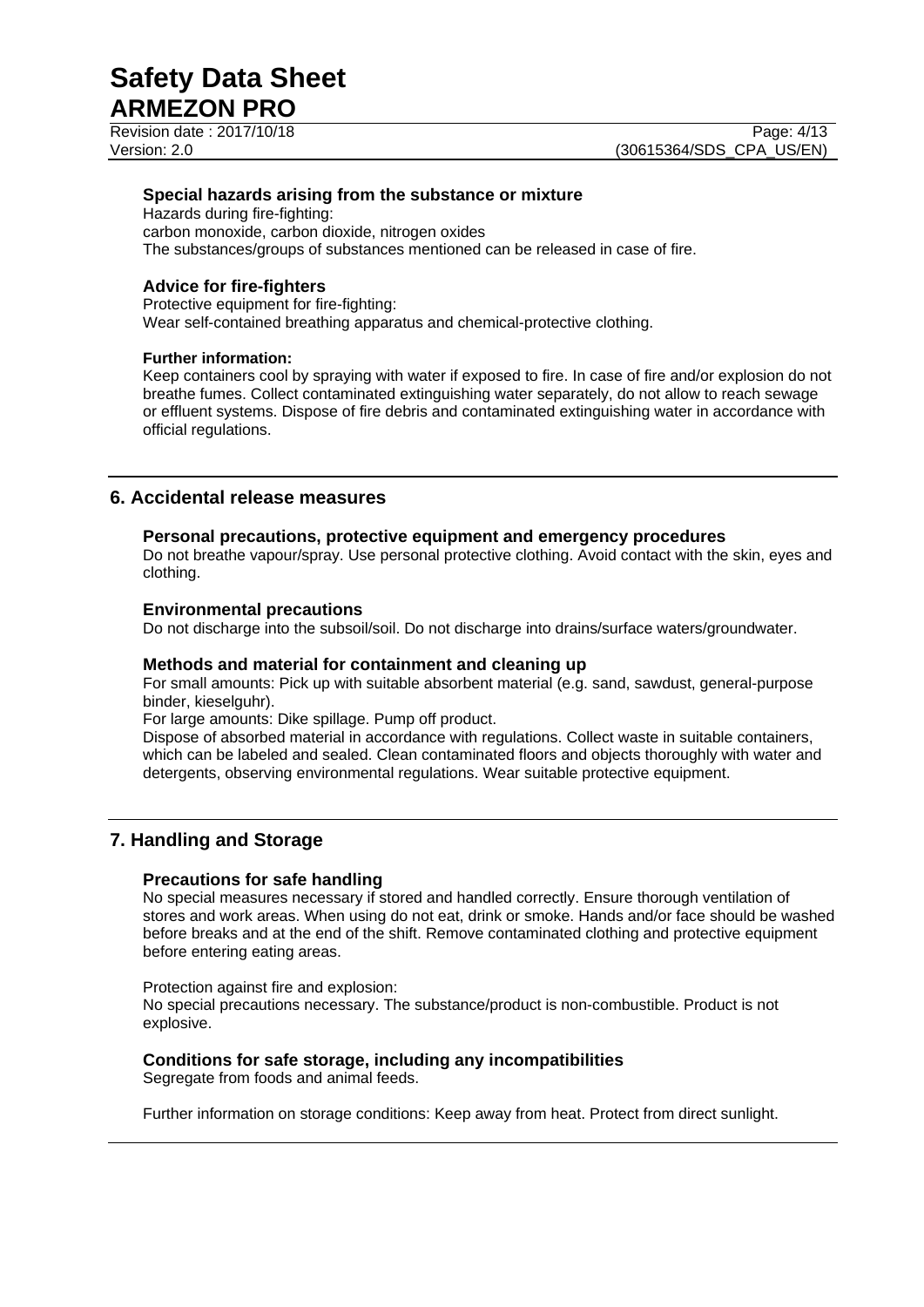Revision date : 2017/10/18 Page: 4/13

### **Special hazards arising from the substance or mixture**

Hazards during fire-fighting: carbon monoxide, carbon dioxide, nitrogen oxides The substances/groups of substances mentioned can be released in case of fire.

# **Advice for fire-fighters**

Protective equipment for fire-fighting: Wear self-contained breathing apparatus and chemical-protective clothing.

#### **Further information:**

Keep containers cool by spraying with water if exposed to fire. In case of fire and/or explosion do not breathe fumes. Collect contaminated extinguishing water separately, do not allow to reach sewage or effluent systems. Dispose of fire debris and contaminated extinguishing water in accordance with official regulations.

# **6. Accidental release measures**

### **Personal precautions, protective equipment and emergency procedures**

Do not breathe vapour/spray. Use personal protective clothing. Avoid contact with the skin, eyes and clothing.

#### **Environmental precautions**

Do not discharge into the subsoil/soil. Do not discharge into drains/surface waters/groundwater.

#### **Methods and material for containment and cleaning up**

For small amounts: Pick up with suitable absorbent material (e.g. sand, sawdust, general-purpose binder, kieselguhr).

For large amounts: Dike spillage. Pump off product.

Dispose of absorbed material in accordance with regulations. Collect waste in suitable containers, which can be labeled and sealed. Clean contaminated floors and objects thoroughly with water and detergents, observing environmental regulations. Wear suitable protective equipment.

# **7. Handling and Storage**

# **Precautions for safe handling**

No special measures necessary if stored and handled correctly. Ensure thorough ventilation of stores and work areas. When using do not eat, drink or smoke. Hands and/or face should be washed before breaks and at the end of the shift. Remove contaminated clothing and protective equipment before entering eating areas.

Protection against fire and explosion: No special precautions necessary. The substance/product is non-combustible. Product is not explosive.

# **Conditions for safe storage, including any incompatibilities**

Segregate from foods and animal feeds.

Further information on storage conditions: Keep away from heat. Protect from direct sunlight.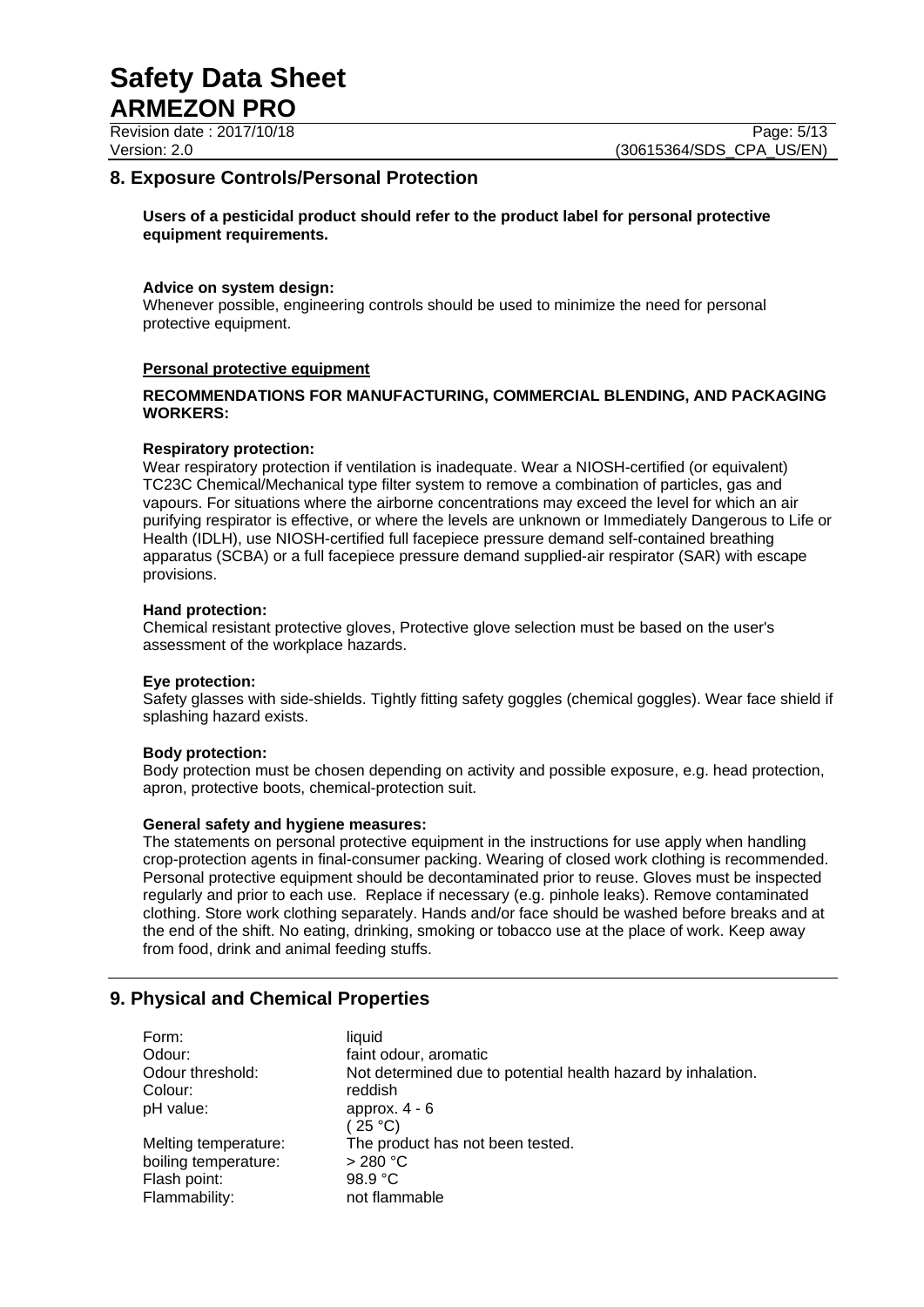Revision date : 2017/10/18 Page: 5/13

# **8. Exposure Controls/Personal Protection**

#### **Users of a pesticidal product should refer to the product label for personal protective equipment requirements.**

#### **Advice on system design:**

Whenever possible, engineering controls should be used to minimize the need for personal protective equipment.

#### **Personal protective equipment**

#### **RECOMMENDATIONS FOR MANUFACTURING, COMMERCIAL BLENDING, AND PACKAGING WORKERS:**

#### **Respiratory protection:**

Wear respiratory protection if ventilation is inadequate. Wear a NIOSH-certified (or equivalent) TC23C Chemical/Mechanical type filter system to remove a combination of particles, gas and vapours. For situations where the airborne concentrations may exceed the level for which an air purifying respirator is effective, or where the levels are unknown or Immediately Dangerous to Life or Health (IDLH), use NIOSH-certified full facepiece pressure demand self-contained breathing apparatus (SCBA) or a full facepiece pressure demand supplied-air respirator (SAR) with escape provisions.

#### **Hand protection:**

Chemical resistant protective gloves, Protective glove selection must be based on the user's assessment of the workplace hazards.

#### **Eye protection:**

Safety glasses with side-shields. Tightly fitting safety goggles (chemical goggles). Wear face shield if splashing hazard exists.

#### **Body protection:**

Body protection must be chosen depending on activity and possible exposure, e.g. head protection, apron, protective boots, chemical-protection suit.

#### **General safety and hygiene measures:**

The statements on personal protective equipment in the instructions for use apply when handling crop-protection agents in final-consumer packing. Wearing of closed work clothing is recommended. Personal protective equipment should be decontaminated prior to reuse. Gloves must be inspected regularly and prior to each use. Replace if necessary (e.g. pinhole leaks). Remove contaminated clothing. Store work clothing separately. Hands and/or face should be washed before breaks and at the end of the shift. No eating, drinking, smoking or tobacco use at the place of work. Keep away from food, drink and animal feeding stuffs.

# **9. Physical and Chemical Properties**

| Form:                | liauid                                                       |
|----------------------|--------------------------------------------------------------|
| Odour:               | faint odour, aromatic                                        |
| Odour threshold:     | Not determined due to potential health hazard by inhalation. |
| Colour:              | reddish                                                      |
| pH value:            | approx. $4 - 6$                                              |
|                      | (25 °C)                                                      |
| Melting temperature: | The product has not been tested.                             |
| boiling temperature: | $>280$ °C                                                    |
| Flash point:         | 98.9 $\degree$ C                                             |
| Flammability:        | not flammable                                                |
|                      |                                                              |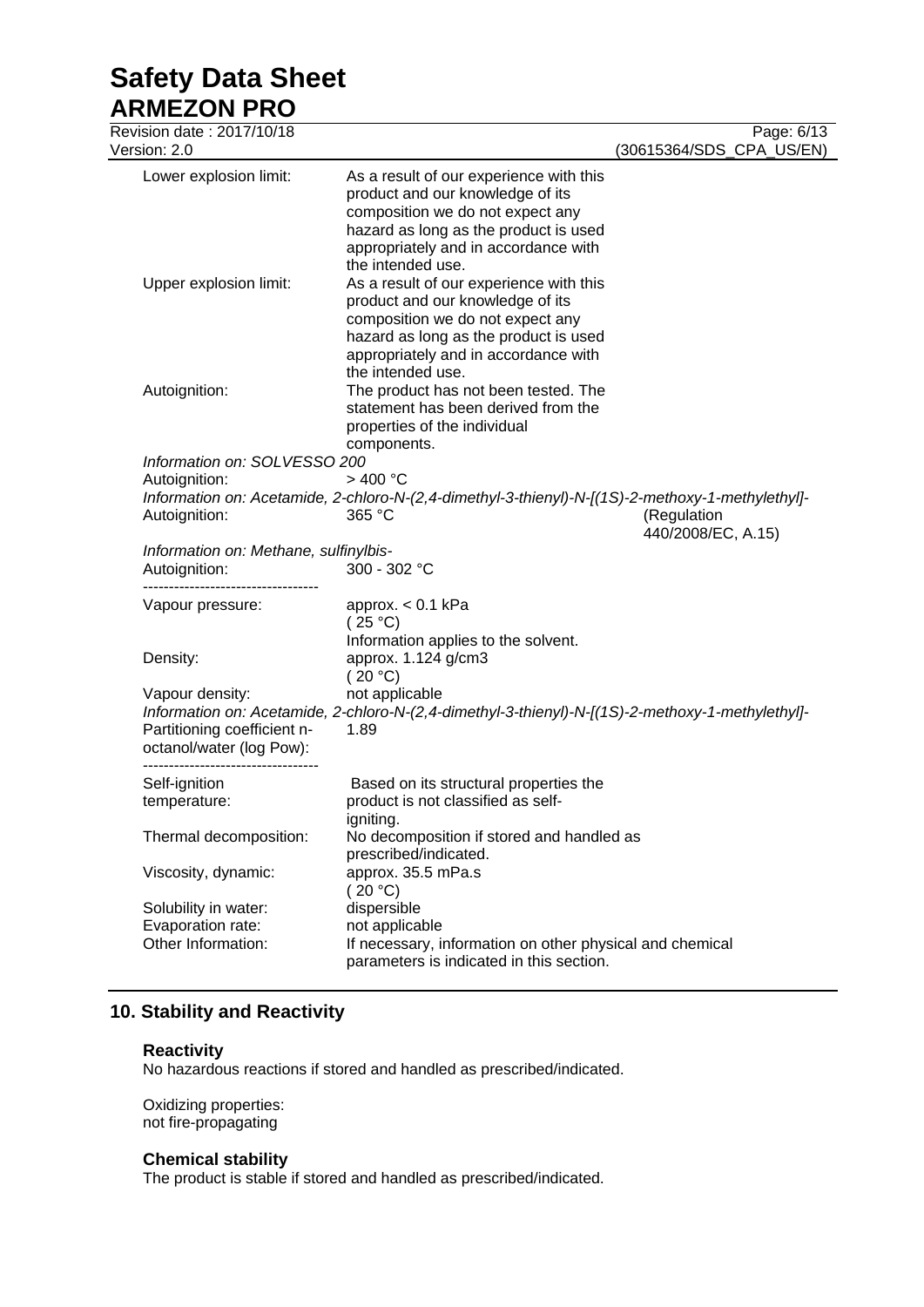# **Safety Data Sheet**

**ARMEZON PRO** Revision date : 2017/10/18 Page: 6/13 Version: 2.0 (30615364/SDS\_CPA\_US/EN) Lower explosion limit: As a result of our experience with this product and our knowledge of its composition we do not expect any hazard as long as the product is used appropriately and in accordance with the intended use. Upper explosion limit: As a result of our experience with this product and our knowledge of its composition we do not expect any hazard as long as the product is used appropriately and in accordance with the intended use. Autoignition: The product has not been tested. The statement has been derived from the properties of the individual components. *Information on: SOLVESSO 200* Autoignition: > 400 °C *Information on: Acetamide, 2-chloro-N-(2,4-dimethyl-3-thienyl)-N-[(1S)-2-methoxy-1-methylethyl]-* Autoignition: 365 °C (Regulation and Autoignition: 440/2008/EC, A.15) *Information on: Methane, sulfinylbis-*Autoignition: 300 - 302 °C ---------------------------------- Vapour pressure: approx. < 0.1 kPa  $(25 °C)$ Information applies to the solvent. Density: approx. 1.124 g/cm3  $(20 °C)$ Vapour density: not applicable *Information on: Acetamide, 2-chloro-N-(2,4-dimethyl-3-thienyl)-N-[(1S)-2-methoxy-1-methylethyl]-* Partitioning coefficient noctanol/water (log Pow): 1.89 ---------------------------------- Self-ignition temperature: Based on its structural properties the product is not classified as selfigniting. Thermal decomposition: No decomposition if stored and handled as prescribed/indicated. Viscosity, dynamic: approx. 35.5 mPa.s (20 °C)<br>dispersible Solubility in water: Evaporation rate: not applicable Other Information: If necessary, information on other physical and chemical parameters is indicated in this section.

# **10. Stability and Reactivity**

#### **Reactivity**

No hazardous reactions if stored and handled as prescribed/indicated.

Oxidizing properties: not fire-propagating

# **Chemical stability**

The product is stable if stored and handled as prescribed/indicated.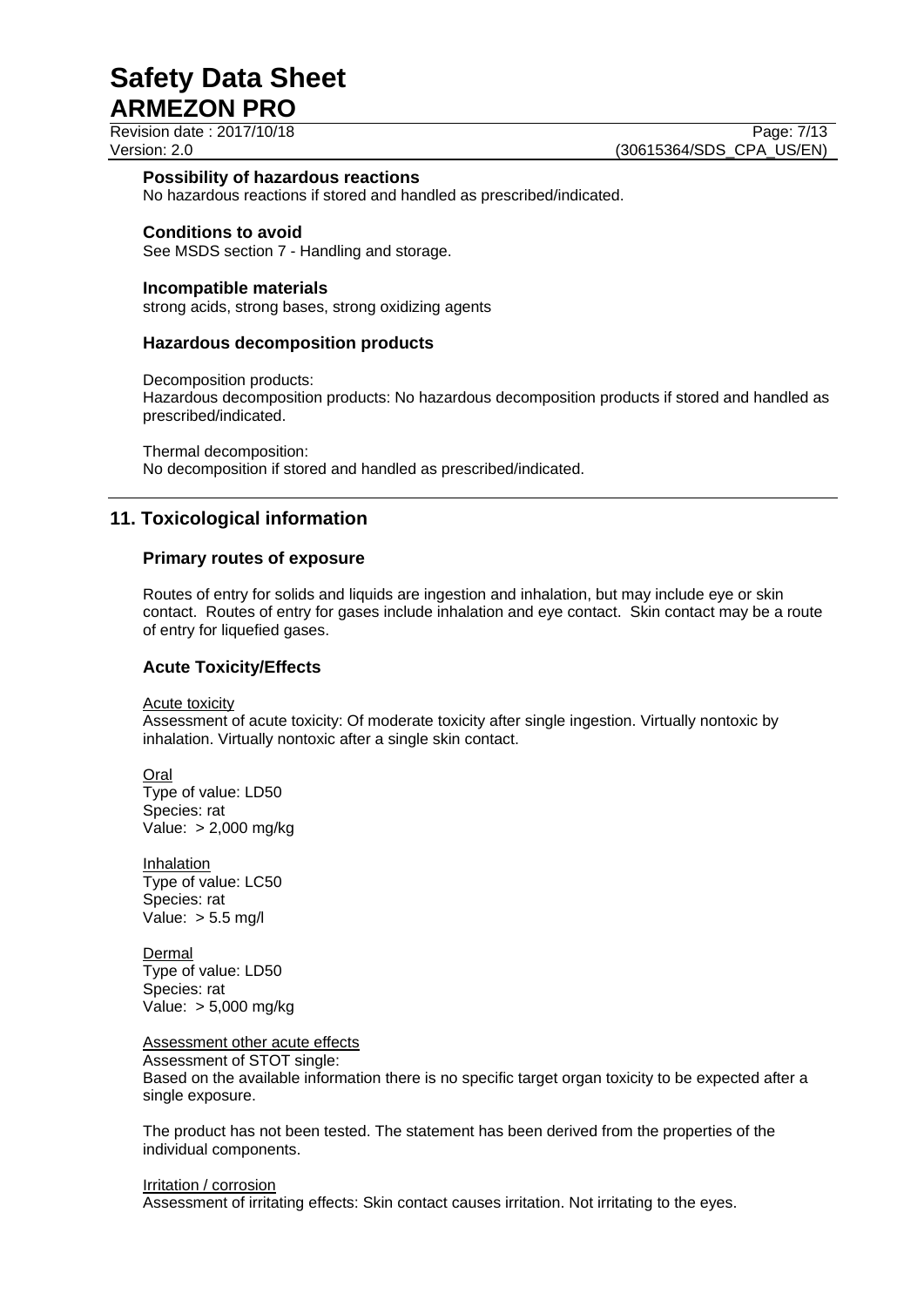Revision date : 2017/10/18 Page: 7/13

Version: 2.0 **(30615364/SDS\_CPA\_US/EN)** 

#### **Possibility of hazardous reactions**

No hazardous reactions if stored and handled as prescribed/indicated.

#### **Conditions to avoid**

See MSDS section 7 - Handling and storage.

#### **Incompatible materials**

strong acids, strong bases, strong oxidizing agents

#### **Hazardous decomposition products**

Decomposition products:

Hazardous decomposition products: No hazardous decomposition products if stored and handled as prescribed/indicated.

Thermal decomposition: No decomposition if stored and handled as prescribed/indicated.

# **11. Toxicological information**

#### **Primary routes of exposure**

Routes of entry for solids and liquids are ingestion and inhalation, but may include eye or skin contact. Routes of entry for gases include inhalation and eye contact. Skin contact may be a route of entry for liquefied gases.

#### **Acute Toxicity/Effects**

Acute toxicity

Assessment of acute toxicity: Of moderate toxicity after single ingestion. Virtually nontoxic by inhalation. Virtually nontoxic after a single skin contact.

Oral Type of value: LD50 Species: rat Value: > 2,000 mg/kg

Inhalation Type of value: LC50 Species: rat Value: > 5.5 mg/l

Dermal Type of value: LD50 Species: rat Value: > 5,000 mg/kg

Assessment other acute effects

Assessment of STOT single: Based on the available information there is no specific target organ toxicity to be expected after a single exposure.

The product has not been tested. The statement has been derived from the properties of the individual components.

#### Irritation / corrosion

Assessment of irritating effects: Skin contact causes irritation. Not irritating to the eyes.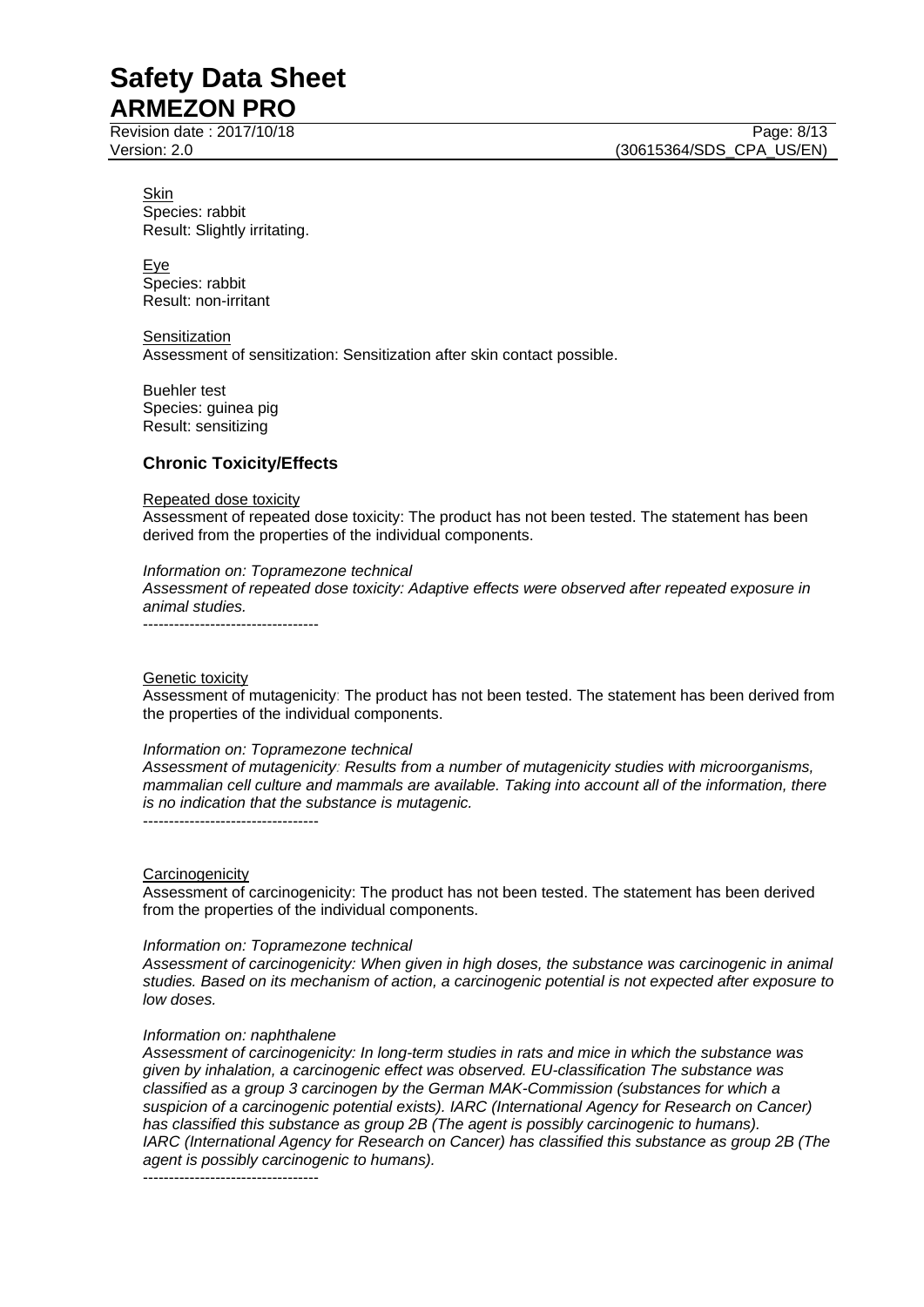Revision date : 2017/10/18 Page: 8/13

Skin Species: rabbit Result: Slightly irritating.

Eye Species: rabbit Result: non-irritant

**Sensitization** Assessment of sensitization: Sensitization after skin contact possible.

Buehler test Species: guinea pig Result: sensitizing

# **Chronic Toxicity/Effects**

#### Repeated dose toxicity

Assessment of repeated dose toxicity: The product has not been tested. The statement has been derived from the properties of the individual components.

#### *Information on: Topramezone technical*

*Assessment of repeated dose toxicity: Adaptive effects were observed after repeated exposure in animal studies.* ----------------------------------

#### Genetic toxicity

Assessment of mutagenicity: The product has not been tested. The statement has been derived from the properties of the individual components.

#### *Information on: Topramezone technical*

*Assessment of mutagenicity: Results from a number of mutagenicity studies with microorganisms, mammalian cell culture and mammals are available. Taking into account all of the information, there is no indication that the substance is mutagenic.*

----------------------------------

#### **Carcinogenicity**

Assessment of carcinogenicity: The product has not been tested. The statement has been derived from the properties of the individual components.

#### *Information on: Topramezone technical*

*Assessment of carcinogenicity: When given in high doses, the substance was carcinogenic in animal studies. Based on its mechanism of action, a carcinogenic potential is not expected after exposure to low doses.*

#### *Information on: naphthalene*

*Assessment of carcinogenicity: In long-term studies in rats and mice in which the substance was given by inhalation, a carcinogenic effect was observed. EU-classification The substance was classified as a group 3 carcinogen by the German MAK-Commission (substances for which a suspicion of a carcinogenic potential exists). IARC (International Agency for Research on Cancer) has classified this substance as group 2B (The agent is possibly carcinogenic to humans). IARC (International Agency for Research on Cancer) has classified this substance as group 2B (The agent is possibly carcinogenic to humans).*

----------------------------------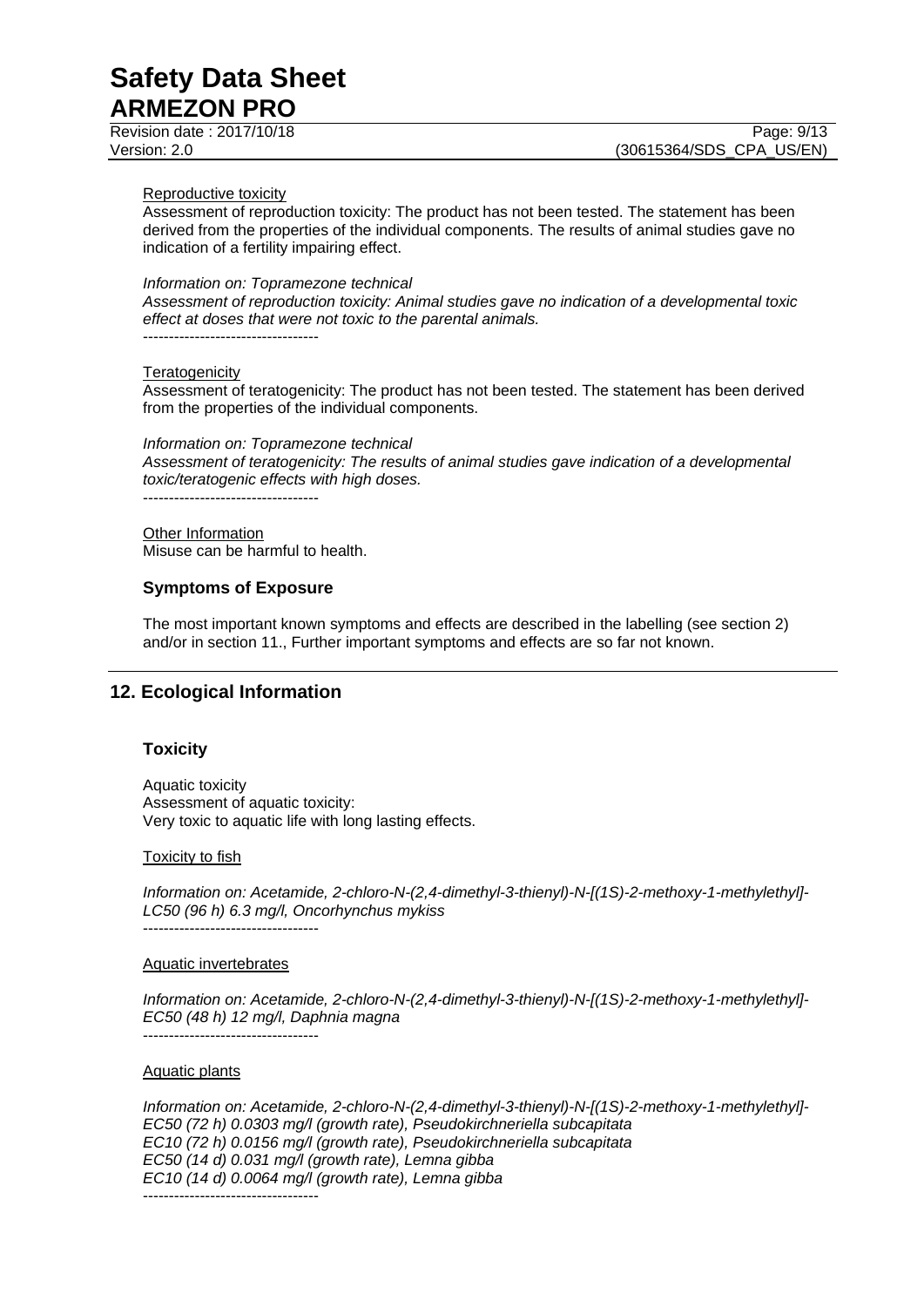Revision date : 2017/10/18 Page: 9/13

#### Reproductive toxicity

Assessment of reproduction toxicity: The product has not been tested. The statement has been derived from the properties of the individual components. The results of animal studies gave no indication of a fertility impairing effect.

#### *Information on: Topramezone technical*

*Assessment of reproduction toxicity: Animal studies gave no indication of a developmental toxic effect at doses that were not toxic to the parental animals.* ----------------------------------

#### **Teratogenicity**

Assessment of teratogenicity: The product has not been tested. The statement has been derived from the properties of the individual components.

#### *Information on: Topramezone technical*

*Assessment of teratogenicity: The results of animal studies gave indication of a developmental toxic/teratogenic effects with high doses.*

----------------------------------

**Other Information** Misuse can be harmful to health.

#### **Symptoms of Exposure**

The most important known symptoms and effects are described in the labelling (see section 2) and/or in section 11., Further important symptoms and effects are so far not known.

# **12. Ecological Information**

#### **Toxicity**

Aquatic toxicity Assessment of aquatic toxicity: Very toxic to aquatic life with long lasting effects.

#### Toxicity to fish

*Information on: Acetamide, 2-chloro-N-(2,4-dimethyl-3-thienyl)-N-[(1S)-2-methoxy-1-methylethyl]- LC50 (96 h) 6.3 mg/l, Oncorhynchus mykiss* ----------------------------------

#### Aquatic invertebrates

*Information on: Acetamide, 2-chloro-N-(2,4-dimethyl-3-thienyl)-N-[(1S)-2-methoxy-1-methylethyl]- EC50 (48 h) 12 mg/l, Daphnia magna* ----------------------------------

#### Aquatic plants

*Information on: Acetamide, 2-chloro-N-(2,4-dimethyl-3-thienyl)-N-[(1S)-2-methoxy-1-methylethyl]- EC50 (72 h) 0.0303 mg/l (growth rate), Pseudokirchneriella subcapitata EC10 (72 h) 0.0156 mg/l (growth rate), Pseudokirchneriella subcapitata EC50 (14 d) 0.031 mg/l (growth rate), Lemna gibba EC10 (14 d) 0.0064 mg/l (growth rate), Lemna gibba* ----------------------------------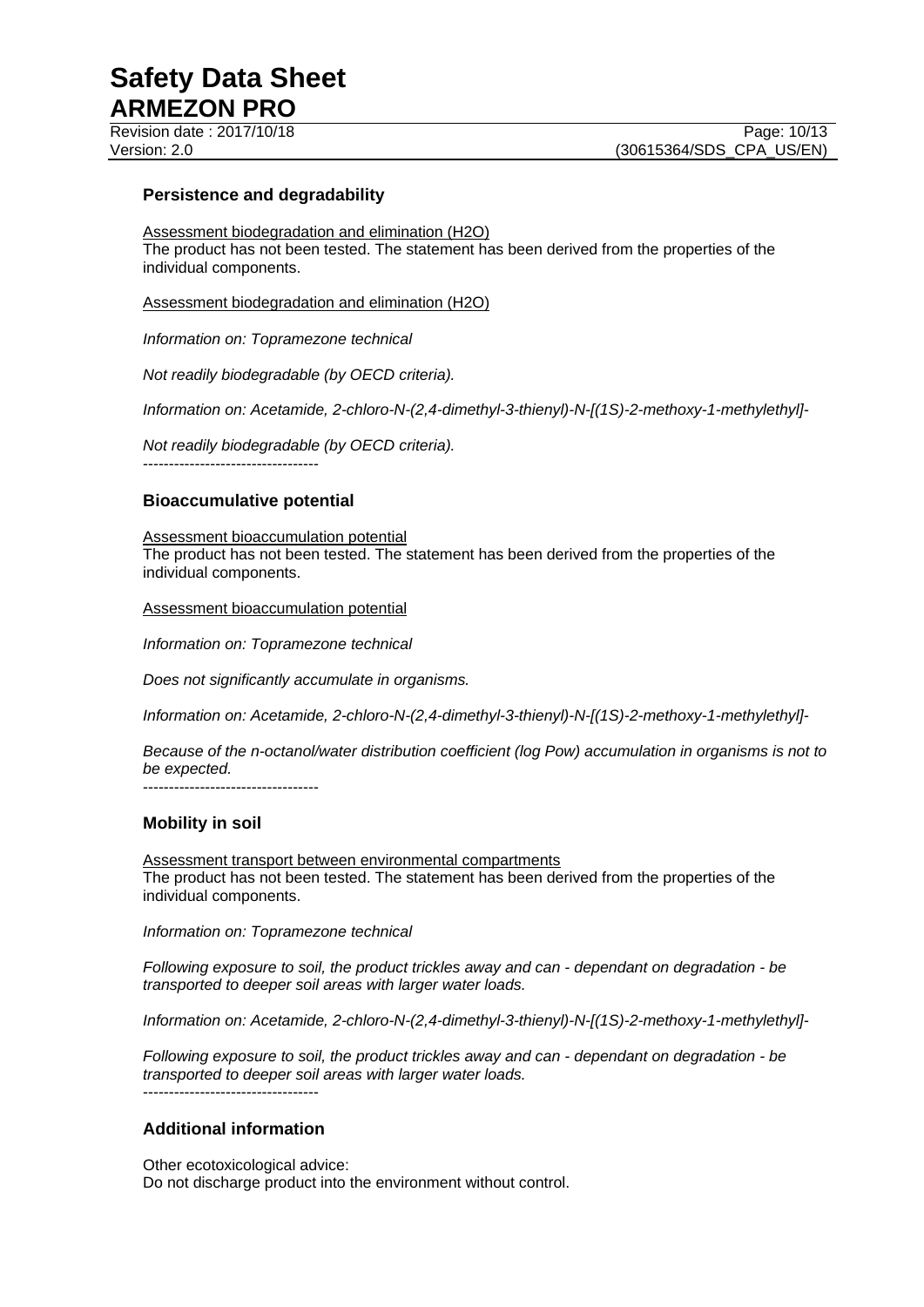### **Persistence and degradability**

Assessment biodegradation and elimination (H2O) The product has not been tested. The statement has been derived from the properties of the individual components.

Assessment biodegradation and elimination (H2O)

*Information on: Topramezone technical*

*Not readily biodegradable (by OECD criteria).*

*Information on: Acetamide, 2-chloro-N-(2,4-dimethyl-3-thienyl)-N-[(1S)-2-methoxy-1-methylethyl]-*

*Not readily biodegradable (by OECD criteria).*

----------------------------------

### **Bioaccumulative potential**

Assessment bioaccumulation potential The product has not been tested. The statement has been derived from the properties of the individual components.

Assessment bioaccumulation potential

*Information on: Topramezone technical*

*Does not significantly accumulate in organisms.*

*Information on: Acetamide, 2-chloro-N-(2,4-dimethyl-3-thienyl)-N-[(1S)-2-methoxy-1-methylethyl]-*

*Because of the n-octanol/water distribution coefficient (log Pow) accumulation in organisms is not to be expected.*

----------------------------------

# **Mobility in soil**

Assessment transport between environmental compartments The product has not been tested. The statement has been derived from the properties of the individual components.

*Information on: Topramezone technical*

*Following exposure to soil, the product trickles away and can - dependant on degradation - be transported to deeper soil areas with larger water loads.*

*Information on: Acetamide, 2-chloro-N-(2,4-dimethyl-3-thienyl)-N-[(1S)-2-methoxy-1-methylethyl]-*

*Following exposure to soil, the product trickles away and can - dependant on degradation - be transported to deeper soil areas with larger water loads.* ----------------------------------

# **Additional information**

Other ecotoxicological advice: Do not discharge product into the environment without control.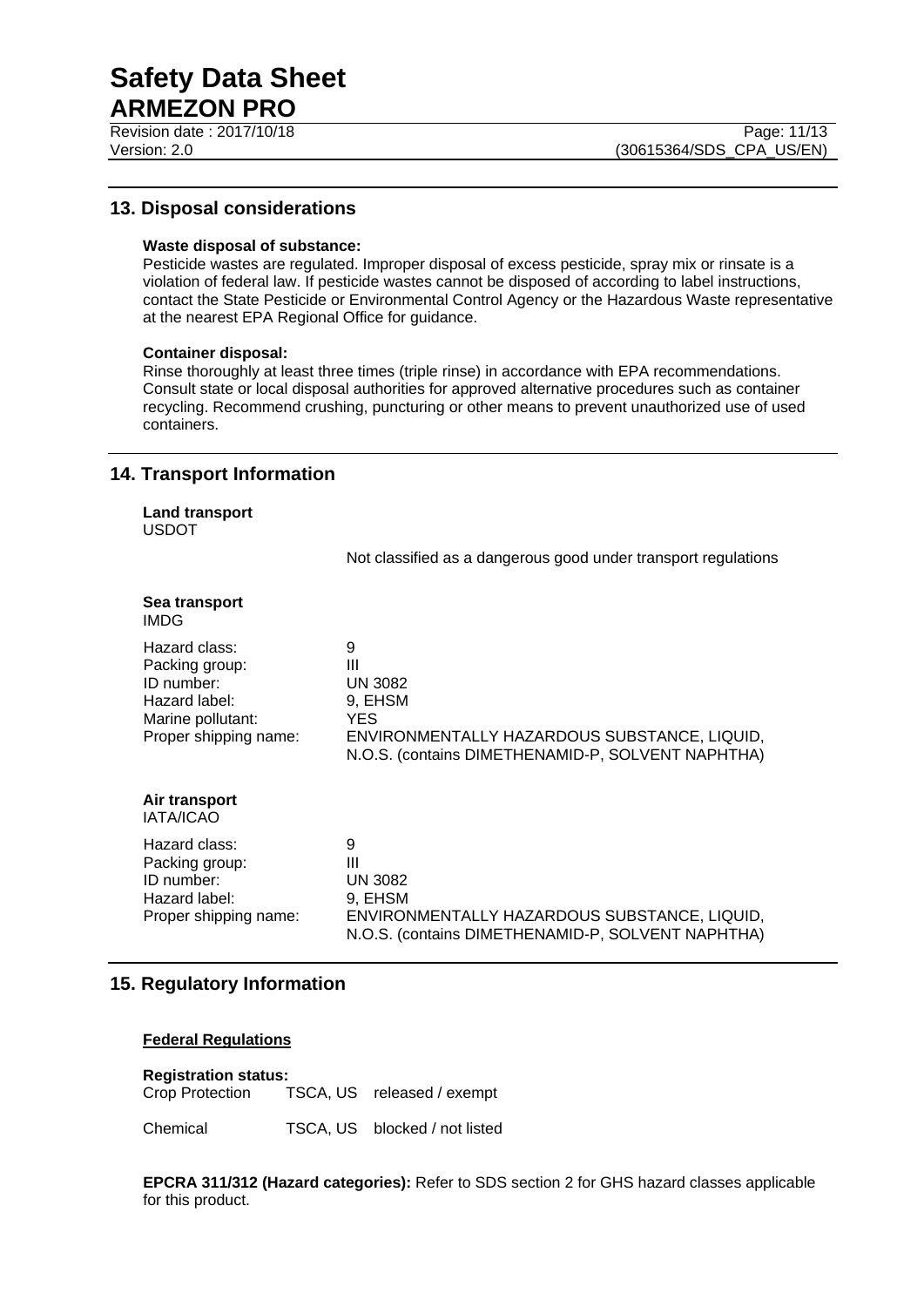Revision date : 2017/10/18 Page: 11/13

# **13. Disposal considerations**

#### **Waste disposal of substance:**

Pesticide wastes are regulated. Improper disposal of excess pesticide, spray mix or rinsate is a violation of federal law. If pesticide wastes cannot be disposed of according to label instructions, contact the State Pesticide or Environmental Control Agency or the Hazardous Waste representative at the nearest EPA Regional Office for guidance.

#### **Container disposal:**

Rinse thoroughly at least three times (triple rinse) in accordance with EPA recommendations. Consult state or local disposal authorities for approved alternative procedures such as container recycling. Recommend crushing, puncturing or other means to prevent unauthorized use of used containers.

# **14. Transport Information**

**Land transport** USDOT

Not classified as a dangerous good under transport regulations

| Sea transport<br><b>IMDG</b>                                                                                 |                                                                                                                                                  |
|--------------------------------------------------------------------------------------------------------------|--------------------------------------------------------------------------------------------------------------------------------------------------|
| Hazard class:<br>Packing group:<br>ID number:<br>Hazard label:<br>Marine pollutant:<br>Proper shipping name: | 9<br>Ш<br><b>UN 3082</b><br>9, EHSM<br>YES.<br>ENVIRONMENTALLY HAZARDOUS SUBSTANCE, LIQUID,<br>N.O.S. (contains DIMETHENAMID-P, SOLVENT NAPHTHA) |
| Air transport<br><b>IATA/ICAO</b>                                                                            |                                                                                                                                                  |
| Hazard class:<br>Packing group:<br>ID number:<br>Hazard label:<br>Proper shipping name:                      | 9<br>Ш<br><b>UN 3082</b><br>9, EHSM<br>ENVIRONMENTALLY HAZARDOUS SUBSTANCE, LIQUID,<br>N.O.S. (contains DIMETHENAMID-P, SOLVENT NAPHTHA)         |

# **15. Regulatory Information**

#### **Federal Regulations**

**Registration status:** Crop Protection TSCA, US released / exempt

Chemical TSCA, US blocked / not listed

**EPCRA 311/312 (Hazard categories):** Refer to SDS section 2 for GHS hazard classes applicable for this product.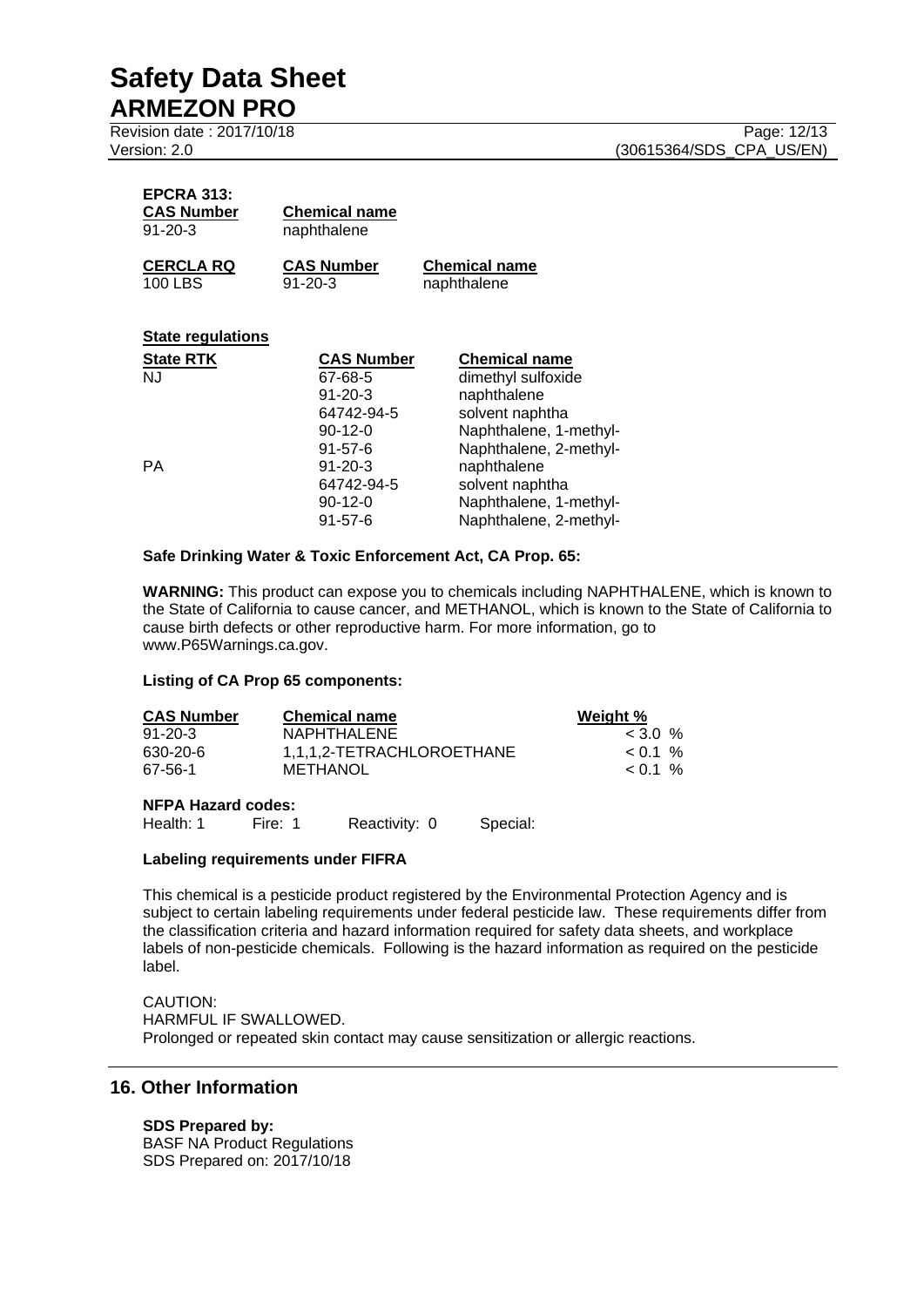Revision date : 2017/10/18 Page: 12/13

| <b>EPCRA 313:</b> |                      |
|-------------------|----------------------|
| <b>CAS Number</b> | <b>Chemical name</b> |
| $91 - 20 - 3$     | naphthalene          |
| CERCI A RO        | CAS Number           |

**CERCLA RQ CAS Number Chemical name** naphthalene

# **State regulations**

| <b>State RTK</b> | <b>CAS Number</b> | <b>Chemical name</b>   |
|------------------|-------------------|------------------------|
| <b>NJ</b>        | 67-68-5           | dimethyl sulfoxide     |
|                  | $91 - 20 - 3$     | naphthalene            |
|                  | 64742-94-5        | solvent naphtha        |
|                  | $90-12-0$         | Naphthalene, 1-methyl- |
|                  | $91 - 57 - 6$     | Naphthalene, 2-methyl- |
| PA               | $91 - 20 - 3$     | naphthalene            |
|                  | 64742-94-5        | solvent naphtha        |
|                  | $90-12-0$         | Naphthalene, 1-methyl- |
|                  | $91 - 57 - 6$     | Naphthalene, 2-methyl- |

#### **Safe Drinking Water & Toxic Enforcement Act, CA Prop. 65:**

**WARNING:** This product can expose you to chemicals including NAPHTHALENE, which is known to the State of California to cause cancer, and METHANOL, which is known to the State of California to cause birth defects or other reproductive harm. For more information, go to www.P65Warnings.ca.gov.

#### **Listing of CA Prop 65 components:**

| <b>CAS Number</b> | <b>Chemical name</b>      | Weight %     |
|-------------------|---------------------------|--------------|
| $91 - 20 - 3$     | NAPHTHALENE               | $<$ 3.0 %    |
| 630-20-6          | 1.1.1.2-TETRACHLOROETHANE | $\leq$ 0.1 % |
| 67-56-1           | METHANOL                  | $\leq$ 0.1 % |

#### **NFPA Hazard codes:**

Health: 1 Fire: 1 Reactivity: 0 Special:

# **Labeling requirements under FIFRA**

This chemical is a pesticide product registered by the Environmental Protection Agency and is subject to certain labeling requirements under federal pesticide law. These requirements differ from the classification criteria and hazard information required for safety data sheets, and workplace labels of non-pesticide chemicals. Following is the hazard information as required on the pesticide label.

#### CAUTION: HARMFUL IF SWALLOWED. Prolonged or repeated skin contact may cause sensitization or allergic reactions.

# **16. Other Information**

# **SDS Prepared by:**

BASF NA Product Regulations SDS Prepared on: 2017/10/18